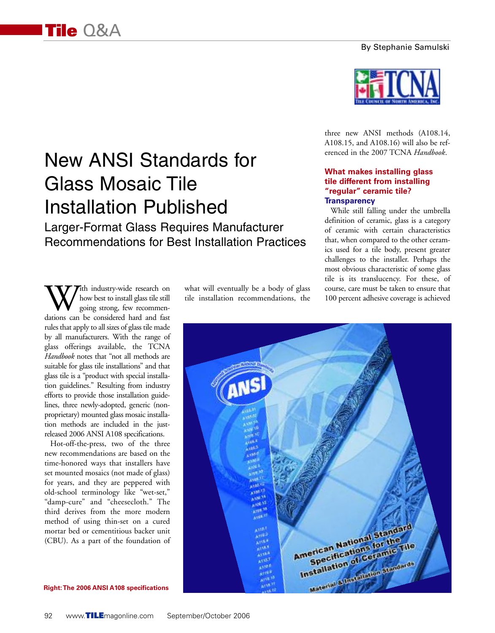#### By Stephanie Samulski

# New ANSI Standards for Glass Mosaic Tile Installation Published

Larger-Format Glass Requires Manufacturer Recommendations for Best Installation Practices

With industry-wide research on<br>how best to install glass tile still<br>dations can be considered hard and fast how best to install glass tile still going strong, few recommenrules that apply to all sizes of glass tile made by all manufacturers. With the range of glass offerings available, the TCNA *Handbook* notes that "not all methods are suitable for glass tile installations" and that glass tile is a "product with special installation guidelines." Resulting from industry efforts to provide those installation guidelines, three newly-adopted, generic (nonproprietary) mounted glass mosaic installation methods are included in the justreleased 2006 ANSI A108 specifications.

Hot-off-the-press, two of the three new recommendations are based on the time-honored ways that installers have set mounted mosaics (not made of glass) for years, and they are peppered with old-school terminology like "wet-set," "damp-cure" and "cheesecloth." The third derives from the more modern method of using thin-set on a cured mortar bed or cementitious backer unit (CBU). As a part of the foundation of what will eventually be a body of glass tile installation recommendations, the



three new ANSI methods (A108.14, A108.15, and A108.16) will also be referenced in the 2007 TCNA *Handbook*.

#### **What makes installing glass tile different from installing "regular" ceramic tile? Transparency**

While still falling under the umbrella definition of ceramic, glass is a category of ceramic with certain characteristics that, when compared to the other ceramics used for a tile body, present greater challenges to the installer. Perhaps the most obvious characteristic of some glass tile is its translucency. For these, of course, care must be taken to ensure that 100 percent adhesive coverage is achieved

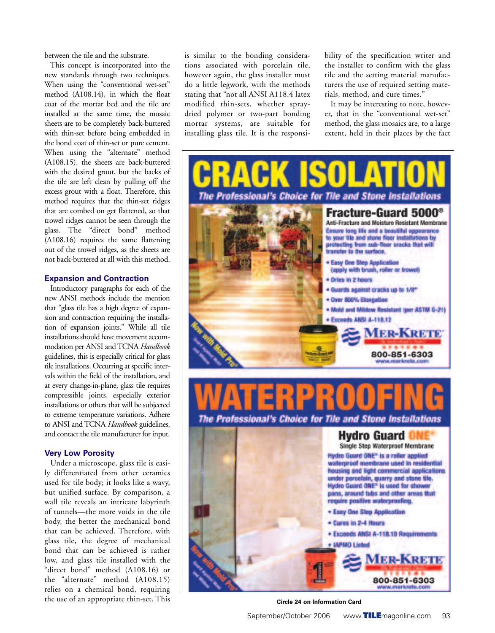between the tile and the substrate.

This concept is incorporated into the new standards through two techniques. When using the "conventional wet-set" method (A108.14), in which the float coat of the mortar bed and the tile are installed at the same time, the mosaic sheets are to be completely back-buttered with thin-set before being embedded in the bond coat of thin-set or pure cement. When using the "alternate" method (A108.15), the sheets are back-buttered with the desired grout, but the backs of the tile are left clean by pulling off the excess grout with a float. Therefore, this method requires that the thin-set ridges that are combed on get flattened, so that trowel ridges cannot be seen through the glass. The "direct bond" method (A108.16) requires the same flattening out of the trowel ridges, as the sheets are not back-buttered at all with this method.

#### **Expansion and Contraction**

Introductory paragraphs for each of the new ANSI methods include the mention that "glass tile has a high degree of expansion and contraction requiring the installation of expansion joints." While all tile installations should have movement accommodation per ANSI and TCNA *Handbook* guidelines, this is especially critical for glass tile installations. Occurring at specific intervals within the field of the installation, and at every change-in-plane, glass tile requires compressible joints, especially exterior installations or others that will be subjected to extreme temperature variations. Adhere to ANSI and TCNA *Handbook* guidelines, and contact the tile manufacturer for input.

#### **Very Low Porosity**

Under a microscope, glass tile is easily differentiated from other ceramics used for tile body; it looks like a wavy, but unified surface. By comparison, a wall tile reveals an intricate labyrinth of tunnels—the more voids in the tile body, the better the mechanical bond that can be achieved. Therefore, with glass tile, the degree of mechanical bond that can be achieved is rather low, and glass tile installed with the "direct bond" method (A108.16) or the "alternate" method (A108.15) relies on a chemical bond, requiring the use of an appropriate thin-set. This

is similar to the bonding considerations associated with porcelain tile, however again, the glass installer must do a little legwork, with the methods stating that "not all ANSI A118.4 latex modified thin-sets, whether spraydried polymer or two-part bonding mortar systems, are suitable for installing glass tile. It is the responsibility of the specification writer and the installer to confirm with the glass tile and the setting material manufacturers the use of required setting materials, method, and cure times."

It may be interesting to note, however, that in the "conventional wet-set" method, the glass mosaics are, to a large extent, held in their places by the fact



#### **Circle 24 on Information Card**